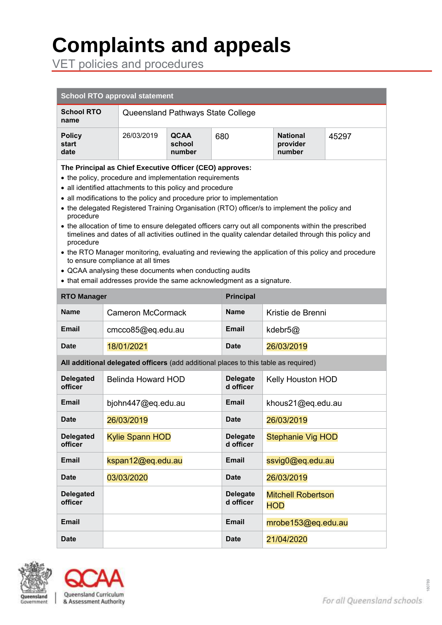# **Complaints and appeals**

VET policies and procedures

| <b>School RTO approval statement</b>                                                                                                                                                                                                                                                                                                                                                                                                                                                                                                                                                                                                                                                                                                                                                                                                                                                      |                                        |                                   |                                 |                              |                          |                                         |       |
|-------------------------------------------------------------------------------------------------------------------------------------------------------------------------------------------------------------------------------------------------------------------------------------------------------------------------------------------------------------------------------------------------------------------------------------------------------------------------------------------------------------------------------------------------------------------------------------------------------------------------------------------------------------------------------------------------------------------------------------------------------------------------------------------------------------------------------------------------------------------------------------------|----------------------------------------|-----------------------------------|---------------------------------|------------------------------|--------------------------|-----------------------------------------|-------|
| <b>School RTO</b><br>name                                                                                                                                                                                                                                                                                                                                                                                                                                                                                                                                                                                                                                                                                                                                                                                                                                                                 |                                        | Queensland Pathways State College |                                 |                              |                          |                                         |       |
| <b>Policy</b><br>start<br>date                                                                                                                                                                                                                                                                                                                                                                                                                                                                                                                                                                                                                                                                                                                                                                                                                                                            | 26/03/2019                             |                                   | <b>QCAA</b><br>school<br>number | 680                          |                          | <b>National</b><br>provider<br>number   | 45297 |
| The Principal as Chief Executive Officer (CEO) approves:<br>• the policy, procedure and implementation requirements<br>• all identified attachments to this policy and procedure<br>• all modifications to the policy and procedure prior to implementation<br>• the delegated Registered Training Organisation (RTO) officer/s to implement the policy and<br>procedure<br>• the allocation of time to ensure delegated officers carry out all components within the prescribed<br>timelines and dates of all activities outlined in the quality calendar detailed through this policy and<br>procedure<br>• the RTO Manager monitoring, evaluating and reviewing the application of this policy and procedure<br>to ensure compliance at all times<br>• QCAA analysing these documents when conducting audits<br>• that email addresses provide the same acknowledgment as a signature. |                                        |                                   |                                 |                              |                          |                                         |       |
|                                                                                                                                                                                                                                                                                                                                                                                                                                                                                                                                                                                                                                                                                                                                                                                                                                                                                           | <b>Principal</b><br><b>RTO Manager</b> |                                   |                                 |                              |                          |                                         |       |
| <b>Name</b>                                                                                                                                                                                                                                                                                                                                                                                                                                                                                                                                                                                                                                                                                                                                                                                                                                                                               |                                        | <b>Cameron McCormack</b>          |                                 | Name                         | Kristie de Brenni        |                                         |       |
| Email                                                                                                                                                                                                                                                                                                                                                                                                                                                                                                                                                                                                                                                                                                                                                                                                                                                                                     |                                        | cmcco85@eq.edu.au                 |                                 | Email                        | kdebr5@                  |                                         |       |
| Date                                                                                                                                                                                                                                                                                                                                                                                                                                                                                                                                                                                                                                                                                                                                                                                                                                                                                      |                                        | 18/01/2021                        |                                 | Date                         | 26/03/2019               |                                         |       |
| All additional delegated officers (add additional places to this table as required)                                                                                                                                                                                                                                                                                                                                                                                                                                                                                                                                                                                                                                                                                                                                                                                                       |                                        |                                   |                                 |                              |                          |                                         |       |
| <b>Delegated</b><br>officer                                                                                                                                                                                                                                                                                                                                                                                                                                                                                                                                                                                                                                                                                                                                                                                                                                                               |                                        | Belinda Howard HOD                |                                 | <b>Delegate</b><br>d officer | <b>Kelly Houston HOD</b> |                                         |       |
| Email                                                                                                                                                                                                                                                                                                                                                                                                                                                                                                                                                                                                                                                                                                                                                                                                                                                                                     |                                        | bjohn447@eq.edu.au                |                                 | Email                        | khous21@eq.edu.au        |                                         |       |
| Date                                                                                                                                                                                                                                                                                                                                                                                                                                                                                                                                                                                                                                                                                                                                                                                                                                                                                      |                                        | 26/03/2019                        |                                 | <b>Date</b>                  | 26/03/2019               |                                         |       |
| <b>Delegated</b><br>officer                                                                                                                                                                                                                                                                                                                                                                                                                                                                                                                                                                                                                                                                                                                                                                                                                                                               |                                        | <b>Kylie Spann HOD</b>            |                                 | <b>Delegate</b><br>d officer | <b>Stephanie Vig HOD</b> |                                         |       |
| <b>Email</b>                                                                                                                                                                                                                                                                                                                                                                                                                                                                                                                                                                                                                                                                                                                                                                                                                                                                              |                                        | kspan12@eq.edu.au                 |                                 | <b>Email</b>                 | ssvig0@eq.edu.au         |                                         |       |
| <b>Date</b>                                                                                                                                                                                                                                                                                                                                                                                                                                                                                                                                                                                                                                                                                                                                                                                                                                                                               |                                        | 03/03/2020                        |                                 | <b>Date</b>                  |                          | 26/03/2019                              |       |
| <b>Delegated</b><br>officer                                                                                                                                                                                                                                                                                                                                                                                                                                                                                                                                                                                                                                                                                                                                                                                                                                                               |                                        |                                   |                                 | <b>Delegate</b><br>d officer |                          | <b>Mitchell Robertson</b><br><b>HOD</b> |       |
| <b>Email</b>                                                                                                                                                                                                                                                                                                                                                                                                                                                                                                                                                                                                                                                                                                                                                                                                                                                                              |                                        |                                   |                                 | <b>Email</b>                 | mrobe153@eq.edu.au       |                                         |       |
| <b>Date</b>                                                                                                                                                                                                                                                                                                                                                                                                                                                                                                                                                                                                                                                                                                                                                                                                                                                                               |                                        |                                   | <b>Date</b>                     |                              | 21/04/2020               |                                         |       |



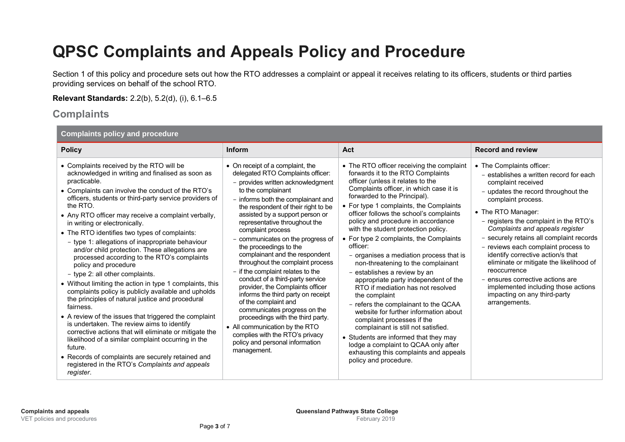## **QPSC Complaints and Appeals Policy and Procedure**

Section 1 of this policy and procedure sets out how the RTO addresses a complaint or appeal it receives relating to its officers, students or third parties providing services on behalf of the school RTO.

**Relevant Standards:** 2.2(b), 5.2(d), (i), 6.1–6.5

#### **Complaints**

| <b>Complaints policy and procedure</b>                                                                                                                                                                                                                                                                                                                                                                                                                                                                                                                                                                                                                                                                                                                                                                                                                                                                                                                                                                                                                                                                                                     |                                                                                                                                                                                                                                                                                                                                                                                                                                                                                                                                                                                                                                                                                                                                                                                                                    |                                                                                                                                                                                                                                                                                                                                                                                                                                                                                                                                                                                                                                                                                                                                                                                                                                                                                                                                                   |                                                                                                                                                                                                                                                                                                                                                                                                                                                                                                                                                                           |  |  |  |
|--------------------------------------------------------------------------------------------------------------------------------------------------------------------------------------------------------------------------------------------------------------------------------------------------------------------------------------------------------------------------------------------------------------------------------------------------------------------------------------------------------------------------------------------------------------------------------------------------------------------------------------------------------------------------------------------------------------------------------------------------------------------------------------------------------------------------------------------------------------------------------------------------------------------------------------------------------------------------------------------------------------------------------------------------------------------------------------------------------------------------------------------|--------------------------------------------------------------------------------------------------------------------------------------------------------------------------------------------------------------------------------------------------------------------------------------------------------------------------------------------------------------------------------------------------------------------------------------------------------------------------------------------------------------------------------------------------------------------------------------------------------------------------------------------------------------------------------------------------------------------------------------------------------------------------------------------------------------------|---------------------------------------------------------------------------------------------------------------------------------------------------------------------------------------------------------------------------------------------------------------------------------------------------------------------------------------------------------------------------------------------------------------------------------------------------------------------------------------------------------------------------------------------------------------------------------------------------------------------------------------------------------------------------------------------------------------------------------------------------------------------------------------------------------------------------------------------------------------------------------------------------------------------------------------------------|---------------------------------------------------------------------------------------------------------------------------------------------------------------------------------------------------------------------------------------------------------------------------------------------------------------------------------------------------------------------------------------------------------------------------------------------------------------------------------------------------------------------------------------------------------------------------|--|--|--|
| <b>Policy</b>                                                                                                                                                                                                                                                                                                                                                                                                                                                                                                                                                                                                                                                                                                                                                                                                                                                                                                                                                                                                                                                                                                                              | Inform                                                                                                                                                                                                                                                                                                                                                                                                                                                                                                                                                                                                                                                                                                                                                                                                             | Act                                                                                                                                                                                                                                                                                                                                                                                                                                                                                                                                                                                                                                                                                                                                                                                                                                                                                                                                               | <b>Record and review</b>                                                                                                                                                                                                                                                                                                                                                                                                                                                                                                                                                  |  |  |  |
| • Complaints received by the RTO will be<br>acknowledged in writing and finalised as soon as<br>practicable.<br>• Complaints can involve the conduct of the RTO's<br>officers, students or third-party service providers of<br>the RTO.<br>• Any RTO officer may receive a complaint verbally,<br>in writing or electronically.<br>• The RTO identifies two types of complaints:<br>- type 1: allegations of inappropriate behaviour<br>and/or child protection. These allegations are<br>processed according to the RTO's complaints<br>policy and procedure<br>- type 2: all other complaints.<br>• Without limiting the action in type 1 complaints, this<br>complaints policy is publicly available and upholds<br>the principles of natural justice and procedural<br>fairness.<br>• A review of the issues that triggered the complaint<br>is undertaken. The review aims to identify<br>corrective actions that will eliminate or mitigate the<br>likelihood of a similar complaint occurring in the<br>future.<br>• Records of complaints are securely retained and<br>registered in the RTO's Complaints and appeals<br>register. | • On receipt of a complaint, the<br>delegated RTO Complaints officer:<br>- provides written acknowledgment<br>to the complainant<br>- informs both the complainant and<br>the respondent of their right to be<br>assisted by a support person or<br>representative throughout the<br>complaint process<br>- communicates on the progress of<br>the proceedings to the<br>complainant and the respondent<br>throughout the complaint process<br>- if the complaint relates to the<br>conduct of a third-party service<br>provider, the Complaints officer<br>informs the third party on receipt<br>of the complaint and<br>communicates progress on the<br>proceedings with the third party.<br>• All communication by the RTO<br>complies with the RTO's privacy<br>policy and personal information<br>management. | • The RTO officer receiving the complaint<br>forwards it to the RTO Complaints<br>officer (unless it relates to the<br>Complaints officer, in which case it is<br>forwarded to the Principal).<br>• For type 1 complaints, the Complaints<br>officer follows the school's complaints<br>policy and procedure in accordance<br>with the student protection policy.<br>• For type 2 complaints, the Complaints<br>officer:<br>- organises a mediation process that is<br>non-threatening to the complainant<br>- establishes a review by an<br>appropriate party independent of the<br>RTO if mediation has not resolved<br>the complaint<br>- refers the complainant to the QCAA<br>website for further information about<br>complaint processes if the<br>complainant is still not satisfied.<br>• Students are informed that they may<br>lodge a complaint to QCAA only after<br>exhausting this complaints and appeals<br>policy and procedure. | • The Complaints officer:<br>- establishes a written record for each<br>complaint received<br>- updates the record throughout the<br>complaint process.<br>• The RTO Manager:<br>- registers the complaint in the RTO's<br>Complaints and appeals register<br>- securely retains all complaint records<br>- reviews each complaint process to<br>identify corrective action/s that<br>eliminate or mitigate the likelihood of<br>reoccurrence<br>- ensures corrective actions are<br>implemented including those actions<br>impacting on any third-party<br>arrangements. |  |  |  |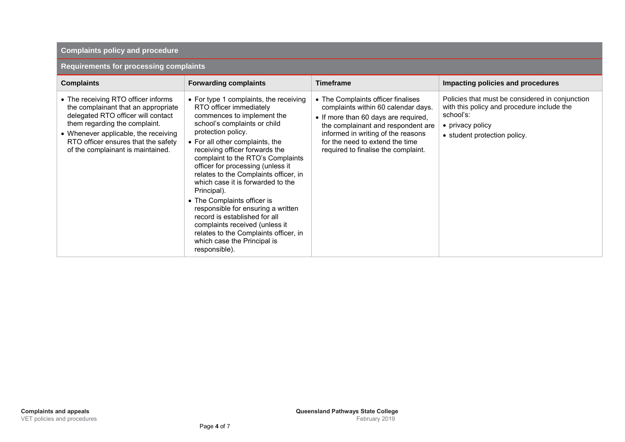#### **Complaints policy and procedure**

#### **Requirements for processing complaints**

| <b>Complaints</b>                                                                                                                                                                                                                                                     | <b>Forwarding complaints</b>                                                                                                                                                                                                                                                                                                                                                                                                                                                                                                                                                                                                       | <b>Timeframe</b>                                                                                                                                                                                                                                                        | Impacting policies and procedures                                                                                                                              |
|-----------------------------------------------------------------------------------------------------------------------------------------------------------------------------------------------------------------------------------------------------------------------|------------------------------------------------------------------------------------------------------------------------------------------------------------------------------------------------------------------------------------------------------------------------------------------------------------------------------------------------------------------------------------------------------------------------------------------------------------------------------------------------------------------------------------------------------------------------------------------------------------------------------------|-------------------------------------------------------------------------------------------------------------------------------------------------------------------------------------------------------------------------------------------------------------------------|----------------------------------------------------------------------------------------------------------------------------------------------------------------|
| • The receiving RTO officer informs<br>the complainant that an appropriate<br>delegated RTO officer will contact<br>them regarding the complaint.<br>• Whenever applicable, the receiving<br>RTO officer ensures that the safety<br>of the complainant is maintained. | • For type 1 complaints, the receiving<br>RTO officer immediately<br>commences to implement the<br>school's complaints or child<br>protection policy.<br>• For all other complaints, the<br>receiving officer forwards the<br>complaint to the RTO's Complaints<br>officer for processing (unless it<br>relates to the Complaints officer, in<br>which case it is forwarded to the<br>Principal).<br>• The Complaints officer is<br>responsible for ensuring a written<br>record is established for all<br>complaints received (unless it<br>relates to the Complaints officer, in<br>which case the Principal is<br>responsible). | • The Complaints officer finalises<br>complaints within 60 calendar days.<br>• If more than 60 days are required,<br>the complainant and respondent are<br>informed in writing of the reasons<br>for the need to extend the time<br>required to finalise the complaint. | Policies that must be considered in conjunction<br>with this policy and procedure include the<br>school's:<br>• privacy policy<br>• student protection policy. |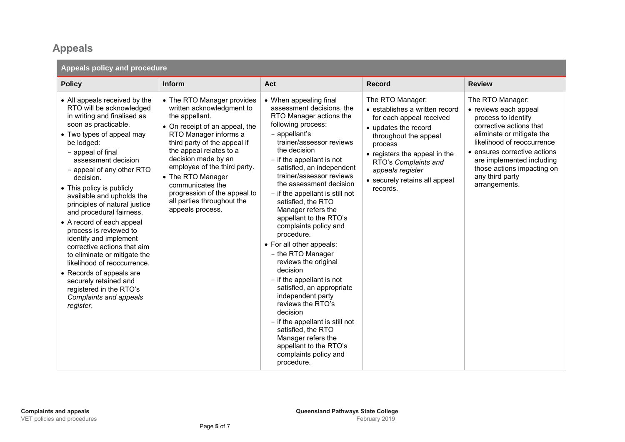### **Appeals**

| Appeals policy and procedure                                                                                                                                                                                                                                                                                                                                                                                                                                                                                                                                                                                                                                                   |                                                                                                                                                                                                                                                                                                                                                                                   |                                                                                                                                                                                                                                                                                                                                                                                                                                                                                                                                                                                                                                                                                                                                                                                         |                                                                                                                                                                                                                                                                      |                                                                                                                                                                                                                                                                                       |  |
|--------------------------------------------------------------------------------------------------------------------------------------------------------------------------------------------------------------------------------------------------------------------------------------------------------------------------------------------------------------------------------------------------------------------------------------------------------------------------------------------------------------------------------------------------------------------------------------------------------------------------------------------------------------------------------|-----------------------------------------------------------------------------------------------------------------------------------------------------------------------------------------------------------------------------------------------------------------------------------------------------------------------------------------------------------------------------------|-----------------------------------------------------------------------------------------------------------------------------------------------------------------------------------------------------------------------------------------------------------------------------------------------------------------------------------------------------------------------------------------------------------------------------------------------------------------------------------------------------------------------------------------------------------------------------------------------------------------------------------------------------------------------------------------------------------------------------------------------------------------------------------------|----------------------------------------------------------------------------------------------------------------------------------------------------------------------------------------------------------------------------------------------------------------------|---------------------------------------------------------------------------------------------------------------------------------------------------------------------------------------------------------------------------------------------------------------------------------------|--|
| <b>Policy</b>                                                                                                                                                                                                                                                                                                                                                                                                                                                                                                                                                                                                                                                                  | <b>Inform</b>                                                                                                                                                                                                                                                                                                                                                                     | Act                                                                                                                                                                                                                                                                                                                                                                                                                                                                                                                                                                                                                                                                                                                                                                                     | <b>Record</b>                                                                                                                                                                                                                                                        | <b>Review</b>                                                                                                                                                                                                                                                                         |  |
| • All appeals received by the<br>RTO will be acknowledged<br>in writing and finalised as<br>soon as practicable.<br>• Two types of appeal may<br>be lodged:<br>- appeal of final<br>assessment decision<br>- appeal of any other RTO<br>decision.<br>• This policy is publicly<br>available and upholds the<br>principles of natural justice<br>and procedural fairness.<br>• A record of each appeal<br>process is reviewed to<br>identify and implement<br>corrective actions that aim<br>to eliminate or mitigate the<br>likelihood of reoccurrence.<br>• Records of appeals are<br>securely retained and<br>registered in the RTO's<br>Complaints and appeals<br>register. | • The RTO Manager provides<br>written acknowledgment to<br>the appellant.<br>• On receipt of an appeal, the<br>RTO Manager informs a<br>third party of the appeal if<br>the appeal relates to a<br>decision made by an<br>employee of the third party.<br>• The RTO Manager<br>communicates the<br>progression of the appeal to<br>all parties throughout the<br>appeals process. | • When appealing final<br>assessment decisions, the<br>RTO Manager actions the<br>following process:<br>- appellant's<br>trainer/assessor reviews<br>the decision<br>- if the appellant is not<br>satisfied, an independent<br>trainer/assessor reviews<br>the assessment decision<br>- if the appellant is still not<br>satisfied, the RTO<br>Manager refers the<br>appellant to the RTO's<br>complaints policy and<br>procedure.<br>• For all other appeals:<br>- the RTO Manager<br>reviews the original<br>decision<br>- if the appellant is not<br>satisfied, an appropriate<br>independent party<br>reviews the RTO's<br>decision<br>- if the appellant is still not<br>satisfied, the RTO<br>Manager refers the<br>appellant to the RTO's<br>complaints policy and<br>procedure. | The RTO Manager:<br>• establishes a written record<br>for each appeal received<br>• updates the record<br>throughout the appeal<br>process<br>• registers the appeal in the<br>RTO's Complaints and<br>appeals register<br>• securely retains all appeal<br>records. | The RTO Manager:<br>• reviews each appeal<br>process to identify<br>corrective actions that<br>eliminate or mitigate the<br>likelihood of reoccurrence<br>• ensures corrective actions<br>are implemented including<br>those actions impacting on<br>any third party<br>arrangements. |  |